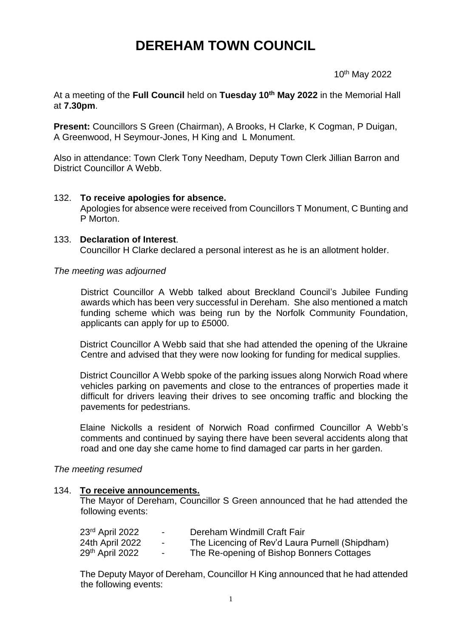# **DEREHAM TOWN COUNCIL**

 $10$ 10<sup>th</sup> May 2022

At a meeting of the **Full Council** held on **Tuesday 10 th May 2022** in the Memorial Hall at **7.30pm**.

**Present:** Councillors S Green (Chairman), A Brooks, H Clarke, K Cogman, P Duigan, A Greenwood, H Seymour-Jones, H King and L Monument.

Also in attendance: Town Clerk Tony Needham, Deputy Town Clerk Jillian Barron and District Councillor A Webb.

## 132. **To receive apologies for absence.**

Apologies for absence were received from Councillors T Monument, C Bunting and P Morton.

## 133. **Declaration of Interest**.

Councillor H Clarke declared a personal interest as he is an allotment holder.

## *The meeting was adjourned*

District Councillor A Webb talked about Breckland Council's Jubilee Funding awards which has been very successful in Dereham. She also mentioned a match funding scheme which was being run by the Norfolk Community Foundation, applicants can apply for up to £5000.

District Councillor A Webb said that she had attended the opening of the Ukraine Centre and advised that they were now looking for funding for medical supplies.

District Councillor A Webb spoke of the parking issues along Norwich Road where vehicles parking on pavements and close to the entrances of properties made it difficult for drivers leaving their drives to see oncoming traffic and blocking the pavements for pedestrians.

Elaine Nickolls a resident of Norwich Road confirmed Councillor A Webb's comments and continued by saying there have been several accidents along that road and one day she came home to find damaged car parts in her garden.

## *The meeting resumed*

## 134. **To receive announcements.**

The Mayor of Dereham, Councillor S Green announced that he had attended the following events:

| 23 <sup>rd</sup> April 2022 | $\sim$ 100 $\mu$ | Dereham Windmill Craft Fair                     |
|-----------------------------|------------------|-------------------------------------------------|
| 24th April 2022             | $\sim$ 100 $\mu$ | The Licencing of Rev'd Laura Purnell (Shipdham) |
| 29 <sup>th</sup> April 2022 | $\sim$           | The Re-opening of Bishop Bonners Cottages       |

The Deputy Mayor of Dereham, Councillor H King announced that he had attended the following events: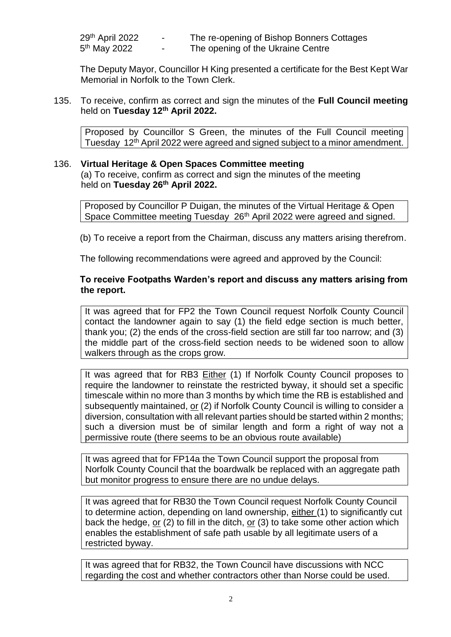| 29 <sup>th</sup> April 2022 | $\overline{\phantom{0}}$ | The re-opening of Bishop Bonners Cottages |
|-----------------------------|--------------------------|-------------------------------------------|
| 5 <sup>th</sup> May 2022    | -                        | The opening of the Ukraine Centre         |

The Deputy Mayor, Councillor H King presented a certificate for the Best Kept War Memorial in Norfolk to the Town Clerk.

135. To receive, confirm as correct and sign the minutes of the **Full Council meeting** held on **Tuesday 12th April 2022.**

Proposed by Councillor S Green, the minutes of the Full Council meeting Tuesday 12<sup>th</sup> April 2022 were agreed and signed subject to a minor amendment.

## 136. **Virtual Heritage & Open Spaces Committee meeting** (a) To receive, confirm as correct and sign the minutes of the meeting held on **Tuesday 26th April 2022.**

Proposed by Councillor P Duigan, the minutes of the Virtual Heritage & Open Space Committee meeting Tuesday 26<sup>th</sup> April 2022 were agreed and signed.

(b) To receive a report from the Chairman, discuss any matters arising therefrom.

The following recommendations were agreed and approved by the Council:

## **To receive Footpaths Warden's report and discuss any matters arising from the report.**

It was agreed that for FP2 the Town Council request Norfolk County Council contact the landowner again to say (1) the field edge section is much better, thank you; (2) the ends of the cross-field section are still far too narrow; and (3) the middle part of the cross-field section needs to be widened soon to allow walkers through as the crops grow.

It was agreed that for RB3 Either (1) If Norfolk County Council proposes to require the landowner to reinstate the restricted byway, it should set a specific timescale within no more than 3 months by which time the RB is established and subsequently maintained, or (2) if Norfolk County Council is willing to consider a diversion, consultation with all relevant parties should be started within 2 months; such a diversion must be of similar length and form a right of way not a permissive route (there seems to be an obvious route available)

It was agreed that for FP14a the Town Council support the proposal from Norfolk County Council that the boardwalk be replaced with an aggregate path but monitor progress to ensure there are no undue delays.

It was agreed that for RB30 the Town Council request Norfolk County Council to determine action, depending on land ownership, either (1) to significantly cut back the hedge,  $or(2)$  to fill in the ditch,  $or(3)$  to take some other action which enables the establishment of safe path usable by all legitimate users of a restricted byway.

It was agreed that for RB32, the Town Council have discussions with NCC regarding the cost and whether contractors other than Norse could be used.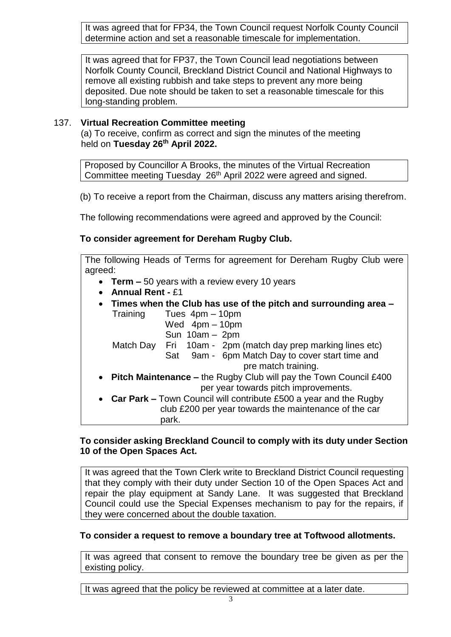It was agreed that for FP34, the Town Council request Norfolk County Council determine action and set a reasonable timescale for implementation.

It was agreed that for FP37, the Town Council lead negotiations between Norfolk County Council, Breckland District Council and National Highways to remove all existing rubbish and take steps to prevent any more being deposited. Due note should be taken to set a reasonable timescale for this long-standing problem.

# 137. **Virtual Recreation Committee meeting**

(a) To receive, confirm as correct and sign the minutes of the meeting held on **Tuesday 26th April 2022.**

Proposed by Councillor A Brooks, the minutes of the Virtual Recreation Committee meeting Tuesday 26<sup>th</sup> April 2022 were agreed and signed.

(b) To receive a report from the Chairman, discuss any matters arising therefrom.

The following recommendations were agreed and approved by the Council:

# **To consider agreement for Dereham Rugby Club.**

The following Heads of Terms for agreement for Dereham Rugby Club were agreed:

- **Term –** 50 years with a review every 10 years
- **Annual Rent -** £1
- **Times when the Club has use of the pitch and surrounding area –** Training Tues 4pm – 10pm
	- Wed 4pm 10pm
	- Sun 10am 2pm

Match Day Fri 10am - 2pm (match day prep marking lines etc)

- Sat 9am 6pm Match Day to cover start time and pre match training.
- **Pitch Maintenance –** the Rugby Club will pay the Town Council £400 per year towards pitch improvements.
- **Car Park –** Town Council will contribute £500 a year and the Rugby club £200 per year towards the maintenance of the car park.

# **To consider asking Breckland Council to comply with its duty under Section 10 of the Open Spaces Act.**

It was agreed that the Town Clerk write to Breckland District Council requesting that they comply with their duty under Section 10 of the Open Spaces Act and repair the play equipment at Sandy Lane. It was suggested that Breckland Council could use the Special Expenses mechanism to pay for the repairs, if they were concerned about the double taxation.

# **To consider a request to remove a boundary tree at Toftwood allotments.**

It was agreed that consent to remove the boundary tree be given as per the existing policy.

It was agreed that the policy be reviewed at committee at a later date.